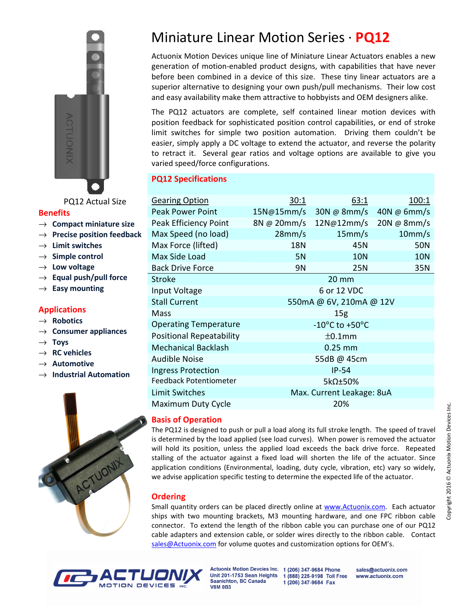

PQ12 Actual Size

#### **Benefits**

- → **Compact miniature size**
- → **Precise position feedback**
- → **Limit switches**
- → **Simple control**
- → **Low voltage**
- → **Equal push/pull force**
- → **Easy mounting**

# **Applications**

- → **Robotics**
- → **Consumer appliances**
- → **Toys**
- → **RC vehicles**
- → **Automotive**
- → **Industrial Automation**



# Miniature Linear Motion Series · **PQ12**

Actuonix Motion Devices unique line of Miniature Linear Actuators enables a new generation of motion-enabled product designs, with capabilities that have never before been combined in a device of this size. These tiny linear actuators are a superior alternative to designing your own push/pull mechanisms. Their low cost and easy availability make them attractive to hobbyists and OEM designers alike.

The PQ12 actuators are complete, self contained linear motion devices with position feedback for sophisticated position control capabilities, or end of stroke limit switches for simple two position automation. Driving them couldn't be easier, simply apply a DC voltage to extend the actuator, and reverse the polarity to retract it. Several gear ratios and voltage options are available to give you varied speed/force configurations.

# **PQ12 Specifications**

| <b>Gearing Option</b>           | 30:1                               | 63:1           | 100:1              |
|---------------------------------|------------------------------------|----------------|--------------------|
| <b>Peak Power Point</b>         | 15N@15mm/s                         | $30N \& 8mm/s$ | $40N \omega$ 6mm/s |
| Peak Efficiency Point           | $8N \omega 20$ mm/s                | 12N@12mm/s     | 20N @ 8mm/s        |
| Max Speed (no load)             | 28mm/s                             | $15$ mm/s      | 10 <sub>mm/s</sub> |
| Max Force (lifted)              | 18N                                | 45N            | <b>50N</b>         |
| Max Side Load                   | <b>5N</b>                          | <b>10N</b>     | <b>10N</b>         |
| <b>Back Drive Force</b>         | 9N                                 | 25N            | 35N                |
| <b>Stroke</b>                   | $20 \, \text{mm}$                  |                |                    |
| Input Voltage                   | 6 or 12 VDC                        |                |                    |
| <b>Stall Current</b>            | 550mA @ 6V, 210mA @ 12V            |                |                    |
| Mass                            | 15g                                |                |                    |
| <b>Operating Temperature</b>    | $-10^{\circ}$ C to $+50^{\circ}$ C |                |                    |
| <b>Positional Repeatability</b> | $±0.1$ mm                          |                |                    |
| <b>Mechanical Backlash</b>      | $0.25$ mm                          |                |                    |
| <b>Audible Noise</b>            | 55dB @ 45cm                        |                |                    |
| <b>Ingress Protection</b>       | $IP-54$                            |                |                    |
| Feedback Potentiometer          | 5kΩ±50%                            |                |                    |
| <b>Limit Switches</b>           | Max. Current Leakage: 8uA          |                |                    |
| Maximum Duty Cycle              | 20%                                |                |                    |
|                                 |                                    |                |                    |

## **Basis of Operation**

The PQ12 is designed to push or pull a load along its full stroke length. The speed of travel is determined by the load applied (see load curves). When power is removed the actuator will hold its position, unless the applied load exceeds the back drive force. Repeated stalling of the actuator against a fixed load will shorten the life of the actuator. Since application conditions (Environmental, loading, duty cycle, vibration, etc) vary so widely, we advise application specific testing to determine the expected life of the actuator.

# **Ordering**

Small quantity orders can be placed directly online at www.Actuonix.com. Each actuator ships with two mounting brackets, M3 mounting hardware, and one FPC ribbon cable connector. To extend the length of the ribbon cable you can purchase one of our PQ12 cable adapters and extension cable, or solder wires directly to the ribbon cable. Contact sales@Actuonix.com for volume quotes and customization options for OEM's.



Actuonix Motion Devcies Inc. 1 (206) 347-9684 Phone Unit 201-1753 Sean Heights 1 (888) 225-9198 Toll Free Saanichton, BC Canada **V8M 0B3** 

1 (206) 347-9684 Fax

sales@actuonix.com www.actuonix.com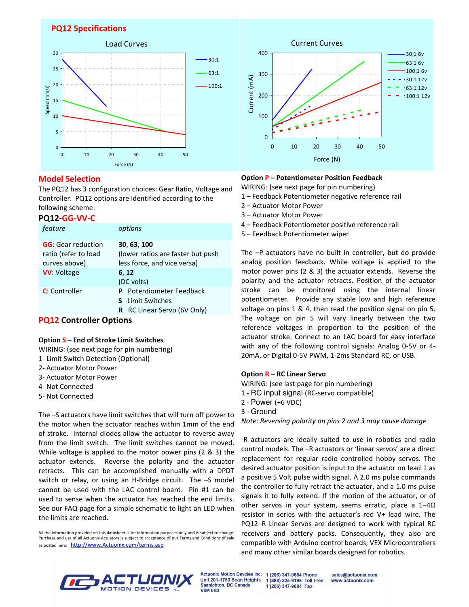## **PQ12 Specifications**



## **Model Selection**

The PQ12 has 3 configuration choices: Gear Ratio, Voltage and Controller. PQ12 options are identified according to the following scheme:

#### **PQ12-GG-VV-C**

| feature                                                             | options                                                                                      |  |
|---------------------------------------------------------------------|----------------------------------------------------------------------------------------------|--|
| <b>GG</b> : Gear reduction<br>ratio (refer to load<br>curves above) | 30, 63, 100<br>(lower ratios are faster but push<br>less force, and vice versa)              |  |
| <b>VV: Voltage</b>                                                  | 6, 12<br>(DC volts)                                                                          |  |
| <b>C</b> : Controller                                               | <b>Potentiometer Feedback</b><br>P<br><b>S</b> Limit Switches<br>R RC Linear Servo (6V Only) |  |

## **PQ12 Controller Options**

#### **Option S – End of Stroke Limit Switches**

- WIRING: (see next page for pin numbering)
- 1- Limit Switch Detection (Optional)
- 2- Actuator Motor Power
- 3- Actuator Motor Power
- 4- Not Connected
- 5- Not Connected

The –S actuators have limit switches that will turn off power to the motor when the actuator reaches within 1mm of the end of stroke. Internal diodes allow the actuator to reverse away from the limit switch. The limit switches cannot be moved. While voltage is applied to the motor power pins (2 & 3) the actuator extends. Reverse the polarity and the actuator retracts. This can be accomplished manually with a DPDT switch or relay, or using an H-Bridge circuit. The –S model cannot be used with the LAC control board. Pin #1 can be used to sense when the actuator has reached the end limits. See our FAQ page for a simple schematic to light an LED when the limits are reached.

All the information provided on this datasheet is for information purposes only and is subject to change. Purchase and use of all Actuonix Actuators is subject to acceptance of our Terms and Conditions of sale as posted here: http://www.Actuonix.com/terms.asp



#### **Option P – Potentiometer Position Feedback**

WIRING: (see next page for pin numbering)

- 1 Feedback Potentiometer negative reference rail
- 2 Actuator Motor Power
- 3 Actuator Motor Power
- 4 Feedback Potentiometer positive reference rail
- 5 Feedback Potentiometer wiper

The –P actuators have no built in controller, but do provide analog position feedback. While voltage is applied to the motor power pins (2 & 3) the actuator extends. Reverse the polarity and the actuator retracts. Position of the actuator stroke can be monitored using the internal linear potentiometer. Provide any stable low and high reference voltage on pins 1 & 4, then read the position signal on pin 5. The voltage on pin 5 will vary linearly between the two reference voltages in proportion to the position of the actuator stroke. Connect to an LAC board for easy interface with any of the following control signals: Analog 0-5V or 4- 20mA, or Digital 0-5V PWM, 1-2ms Standard RC, or USB.

#### **Option R – RC Linear Servo**

WIRING: (see last page for pin numbering)

- 1 RC input signal (RC-servo compatible)
- 2 Power (+6 VDC)
- 3 Ground

*Note: Reversing polarity on pins 2 and 3 may cause damage* 

-R actuators are ideally suited to use in robotics and radio control models. The –R actuators or 'linear servos' are a direct replacement for regular radio controlled hobby servos. The desired actuator position is input to the actuator on lead 1 as a positive 5 Volt pulse width signal. A 2.0 ms pulse commands the controller to fully retract the actuator, and a 1.0 ms pulse signals it to fully extend. If the motion of the actuator, or of other servos in your system, seems erratic, place a 1–4Ω resistor in series with the actuator's red V+ lead wire. The PQ12–R Linear Servos are designed to work with typical RC receivers and battery packs. Consequently, they also are compatible with Arduino control boards, VEX Microcontrollers and many other similar boards designed for robotics.



**Actuonix Motion Devcies Inc.** Unit 201-1753 Sean Heights Saanichton, BC Canada **V8M 0B3** 

1 (206) 347-9684 Phone sales@actuonix.com 1 (888) 225-9198 Toll Free www.actuonix.com 1 (206) 347-9684 Fax